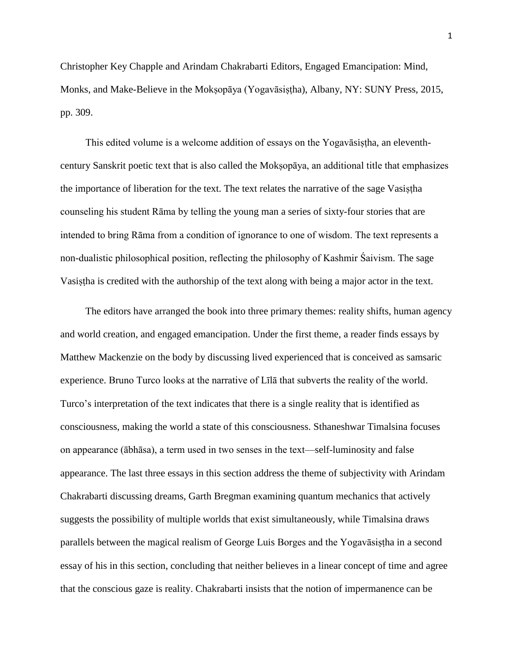Christopher Key Chapple and Arindam Chakrabarti Editors, Engaged Emancipation: Mind, Monks, and Make-Believe in the Mokṣopāya (Yogavāsiṣṭha), Albany, NY: SUNY Press, 2015, pp. 309.

 This edited volume is a welcome addition of essays on the Yogavāsiṣṭha, an eleventhcentury Sanskrit poetic text that is also called the Mokṣopāya, an additional title that emphasizes the importance of liberation for the text. The text relates the narrative of the sage Vasiṣṭha counseling his student Rāma by telling the young man a series of sixty-four stories that are intended to bring Rāma from a condition of ignorance to one of wisdom. The text represents a non-dualistic philosophical position, reflecting the philosophy of Kashmir Śaivism. The sage Vasiṣṭha is credited with the authorship of the text along with being a major actor in the text.

 The editors have arranged the book into three primary themes: reality shifts, human agency and world creation, and engaged emancipation. Under the first theme, a reader finds essays by Matthew Mackenzie on the body by discussing lived experienced that is conceived as samsaric experience. Bruno Turco looks at the narrative of Līlā that subverts the reality of the world. Turco's interpretation of the text indicates that there is a single reality that is identified as consciousness, making the world a state of this consciousness. Sthaneshwar Timalsina focuses on appearance (ābhāsa), a term used in two senses in the text—self-luminosity and false appearance. The last three essays in this section address the theme of subjectivity with Arindam Chakrabarti discussing dreams, Garth Bregman examining quantum mechanics that actively suggests the possibility of multiple worlds that exist simultaneously, while Timalsina draws parallels between the magical realism of George Luis Borges and the Yogavāsiṣṭha in a second essay of his in this section, concluding that neither believes in a linear concept of time and agree that the conscious gaze is reality. Chakrabarti insists that the notion of impermanence can be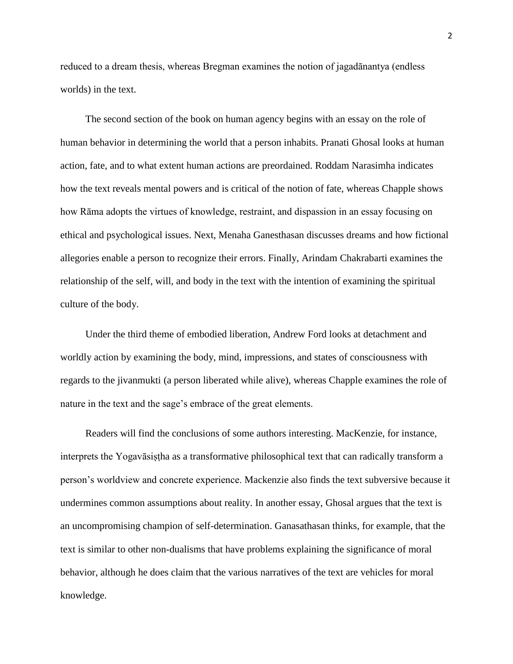reduced to a dream thesis, whereas Bregman examines the notion of jagadānantya (endless worlds) in the text.

 The second section of the book on human agency begins with an essay on the role of human behavior in determining the world that a person inhabits. Pranati Ghosal looks at human action, fate, and to what extent human actions are preordained. Roddam Narasimha indicates how the text reveals mental powers and is critical of the notion of fate, whereas Chapple shows how Rāma adopts the virtues of knowledge, restraint, and dispassion in an essay focusing on ethical and psychological issues. Next, Menaha Ganesthasan discusses dreams and how fictional allegories enable a person to recognize their errors. Finally, Arindam Chakrabarti examines the relationship of the self, will, and body in the text with the intention of examining the spiritual culture of the body.

 Under the third theme of embodied liberation, Andrew Ford looks at detachment and worldly action by examining the body, mind, impressions, and states of consciousness with regards to the jivanmukti (a person liberated while alive), whereas Chapple examines the role of nature in the text and the sage's embrace of the great elements.

 Readers will find the conclusions of some authors interesting. MacKenzie, for instance, interprets the Yogavāsiṣṭha as a transformative philosophical text that can radically transform a person's worldview and concrete experience. Mackenzie also finds the text subversive because it undermines common assumptions about reality. In another essay, Ghosal argues that the text is an uncompromising champion of self-determination. Ganasathasan thinks, for example, that the text is similar to other non-dualisms that have problems explaining the significance of moral behavior, although he does claim that the various narratives of the text are vehicles for moral knowledge.